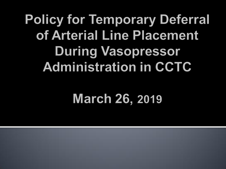#### **Policy for Temporary Deferral** of Arterial Line Placement **During Vasopressor Administration in CCTC**

#### **March 26, 2019**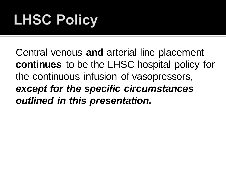# **LHSC Policy**

Central venous **and** arterial line placement **continues** to be the LHSC hospital policy for the continuous infusion of vasopressors, *except for the specific circumstances outlined in this presentation.*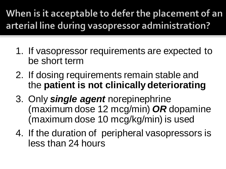When is it acceptable to defer the placement of an arterial line during vasopressor administration?

- 1. If vasopressor requirements are expected to be short term
- 2. If dosing requirements remain stable and the **patient is not clinically deteriorating**
- 3. Only *single agent* norepinephrine (maximum dose 12 mcg/min) *OR* dopamine (maximum dose 10 mcg/kg/min) is used
- 4. If the duration of peripheral vasopressors is less than 24 hours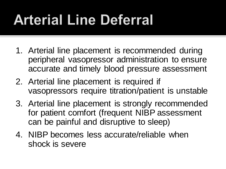# **Arterial Line Deferral**

- 1. Arterial line placement is recommended during peripheral vasopressor administration to ensure accurate and timely blood pressure assessment
- 2. Arterial line placement is required if vasopressors require titration/patient is unstable
- 3. Arterial line placement is strongly recommended for patient comfort (frequent NIBP assessment can be painful and disruptive to sleep)
- 4. NIBP becomes less accurate/reliable when shock is severe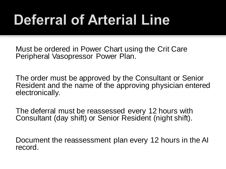# **Deferral of Arterial Line**

Must be ordered in Power Chart using the Crit Care Peripheral Vasopressor Power Plan.

The order must be approved by the Consultant or Senior Resident and the name of the approving physician entered electronically.

The deferral must be reassessed every 12 hours with Consultant (day shift) or Senior Resident (night shift).

Document the reassessment plan every 12 hours in the AI record.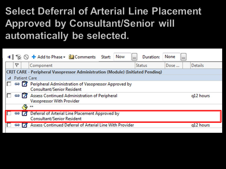#### **Select Deferral of Arterial Line Placement Approved by Consultant/Senior will** automatically be selected.

|                                                                                       |   |                  | 4 % N + Add to Phase v Comments Start:                                                           |  | <b>Now</b> |  | Duration:     | None |  |                |  |  |
|---------------------------------------------------------------------------------------|---|------------------|--------------------------------------------------------------------------------------------------|--|------------|--|---------------|------|--|----------------|--|--|
|                                                                                       | ٣ |                  | Component                                                                                        |  |            |  | <b>Status</b> | Dose |  | <b>Details</b> |  |  |
| <b>CRIT CARE - Peripheral Vasopressor Administration (Module) (Initiated Pending)</b> |   |                  |                                                                                                  |  |            |  |               |      |  |                |  |  |
|                                                                                       |   |                  | ⊿ Patient Care                                                                                   |  |            |  |               |      |  |                |  |  |
| IП                                                                                    |   |                  | 88 7 Peripheral Administration of Vasopressor Approved by<br><b>Consultant/Senior Resident</b>   |  |            |  |               |      |  |                |  |  |
| IП                                                                                    |   |                  | 69 Assess Continued Administration of Peripheral<br><b>Vasopressor With Provider</b>             |  |            |  |               |      |  | q12 hours      |  |  |
|                                                                                       |   | $\sum_{k=1}^{n}$ |                                                                                                  |  |            |  |               |      |  |                |  |  |
|                                                                                       |   |                  | <b>69 7 Deferral of Arterial Line Placement Approved by</b><br><b>Consultant/Senior Resident</b> |  |            |  |               |      |  |                |  |  |
|                                                                                       |   |                  | <b>69 Assess Continued Deferral of Arterial Line With Provider</b>                               |  |            |  |               |      |  | g12 hours      |  |  |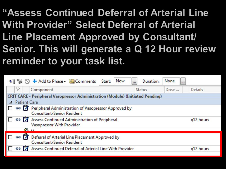"Assess Continued Deferral of Arterial Line With Provider" Select Deferral of Arterial Line Placement Approved by Consultant/ Senior. This will generate a Q 12 Hour review reminder to your task list.

|                                                                                                       | 4 % O + Add to Phase - Comments Start:<br><b>Now</b>                                 | Duration:<br> | None<br>$\cdots$ |                |  |  |  |  |  |  |  |
|-------------------------------------------------------------------------------------------------------|--------------------------------------------------------------------------------------|---------------|------------------|----------------|--|--|--|--|--|--|--|
| r                                                                                                     | Component                                                                            | <b>Status</b> | Dose             | <b>Details</b> |  |  |  |  |  |  |  |
| <b>CRIT CARE - Peripheral Vasopressor Administration (Module) (Initiated Pending)</b>                 |                                                                                      |               |                  |                |  |  |  |  |  |  |  |
| <b>Patient Care</b>                                                                                   |                                                                                      |               |                  |                |  |  |  |  |  |  |  |
| <b>69 7 Peripheral Administration of Vasopressor Approved by</b><br><b>Consultant/Senior Resident</b> |                                                                                      |               |                  |                |  |  |  |  |  |  |  |
|                                                                                                       | 69 Assess Continued Administration of Peripheral<br><b>Vasopressor With Provider</b> |               |                  | q12 hours      |  |  |  |  |  |  |  |
| $\sqrt{8}$ **                                                                                         |                                                                                      |               |                  |                |  |  |  |  |  |  |  |
| 897                                                                                                   | Deferral of Arterial Line Placement Approved by<br><b>Consultant/Senior Resident</b> |               |                  |                |  |  |  |  |  |  |  |
|                                                                                                       | Assess Continued Deferral of Arterial Line With Provider                             |               |                  | g12 hours      |  |  |  |  |  |  |  |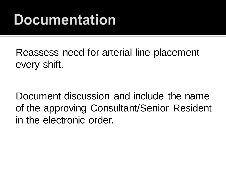#### Documentation

Reassess need for arterial line placement every shift.

Document discussion and include the name of the approving Consultant/Senior Resident in the electronic order.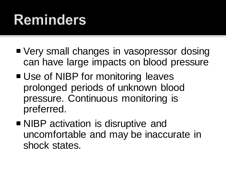### **Reminders**

- Very small changes in vasopressor dosing can have large impacts on blood pressure
- Use of NIBP for monitoring leaves prolonged periods of unknown blood pressure. Continuous monitoring is preferred.
- NIBP activation is disruptive and uncomfortable and may be inaccurate in shock states.